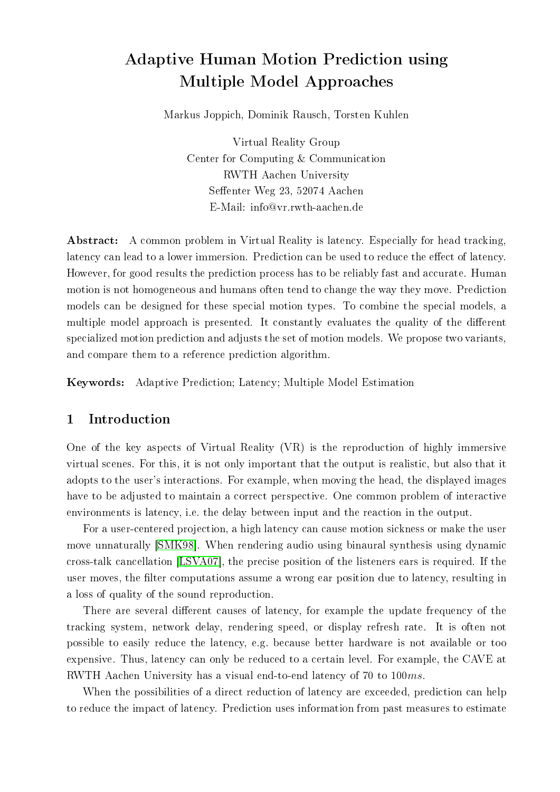# Adaptive Human Motion Prediction using Multiple Model Approaches

Markus Joppich, Dominik Rausch, Torsten Kuhlen

Virtual Reality Group Center for Computing & Communication RWTH Aachen University Seffenter Weg 23, 52074 Aachen E-Mail: info@vr.rwth-aachen.de

Abstract: A common problem in Virtual Reality is latency. Especially for head tracking, latency can lead to a lower immersion. Prediction can be used to reduce the effect of latency. However, for good results the prediction process has to be reliably fast and accurate. Human motion is not homogeneous and humans often tend to change the way they move. Prediction models can be designed for these special motion types. To combine the special models, a multiple model approach is presented. It constantly evaluates the quality of the different specialized motion prediction and adjusts the set of motion models. We propose two variants, and compare them to a reference prediction algorithm.

Keywords: Adaptive Prediction; Latency; Multiple Model Estimation

# 1 Introduction

One of the key aspects of Virtual Reality (VR) is the reproduction of highly immersive virtual scenes. For this, it is not only important that the output is realistic, but also that it adopts to the user's interactions. For example, when moving the head, the displayed images have to be adjusted to maintain a correct perspective. One common problem of interactive environments is latency, i.e. the delay between input and the reaction in the output.

For a user-centered projection, a high latency can cause motion sickness or make the user move unnaturally [\[SMK98\]](#page-11-0). When rendering audio using binaural synthesis using dynamic cross-talk cancellation [\[LSVA07\]](#page-11-1), the precise position of the listeners ears is required. If the user moves, the filter computations assume a wrong ear position due to latency, resulting in a loss of quality of the sound reproduction.

There are several different causes of latency, for example the update frequency of the tracking system, network delay, rendering speed, or display refresh rate. It is often not possible to easily reduce the latency, e.g. because better hardware is not available or too expensive. Thus, latency can only be reduced to a certain level. For example, the CAVE at RWTH Aachen University has a visual end-to-end latency of 70 to 100ms.

When the possibilities of a direct reduction of latency are exceeded, prediction can help to reduce the impact of latency. Prediction uses information from past measures to estimate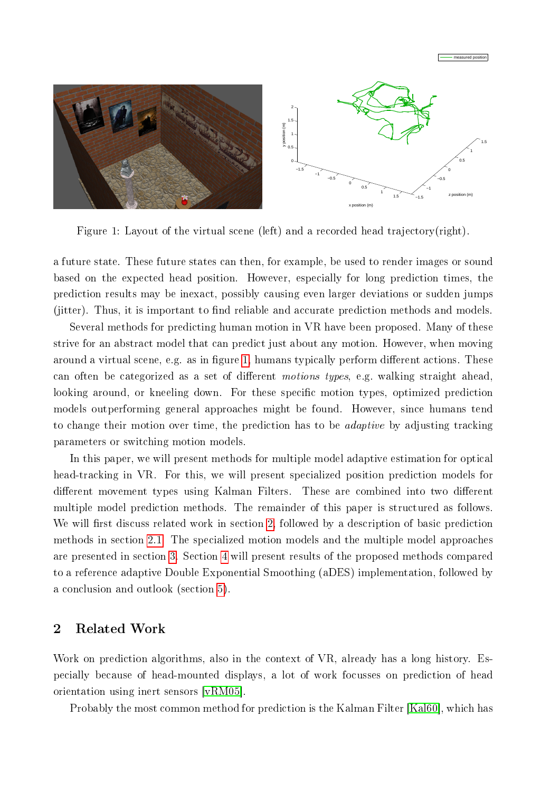

Figure 1: Layout of the virtual scene (left) and a recorded head trajectory(right).

<span id="page-1-0"></span>a future state. These future states can then, for example, be used to render images or sound based on the expected head position. However, especially for long prediction times, the prediction results may be inexact, possibly causing even larger deviations or sudden jumps (jitter). Thus, it is important to find reliable and accurate prediction methods and models.

Several methods for predicting human motion in VR have been proposed. Many of these strive for an abstract model that can predict just about any motion. However, when moving around a virtual scene, e.g. as in figure [1,](#page-1-0) humans typically perform different actions. These can often be categorized as a set of different *motions types*, e.g. walking straight ahead, looking around, or kneeling down. For these specific motion types, optimized prediction models outperforming general approaches might be found. However, since humans tend to change their motion over time, the prediction has to be adaptive by adjusting tracking parameters or switching motion models.

In this paper, we will present methods for multiple model adaptive estimation for optical head-tracking in VR. For this, we will present specialized position prediction models for different movement types using Kalman Filters. These are combined into two different multiple model prediction methods. The remainder of this paper is structured as follows. We will first discuss related work in section [2,](#page-1-1) followed by a description of basic prediction methods in section [2.1.](#page-2-0) The specialized motion models and the multiple model approaches are presented in section [3.](#page-3-0) Section [4](#page-7-0) will present results of the proposed methods compared to a reference adaptive Double Exponential Smoothing (aDES) implementation, followed by a conclusion and outlook (section [5\)](#page-9-0).

# <span id="page-1-1"></span>2 Related Work

Work on prediction algorithms, also in the context of VR, already has a long history. Especially because of head-mounted displays, a lot of work focusses on prediction of head orientation using inert sensors [\[vRM05\]](#page-11-2).

Probably the most common method for prediction is the Kalman Filter [\[Kal60\]](#page-11-3), which has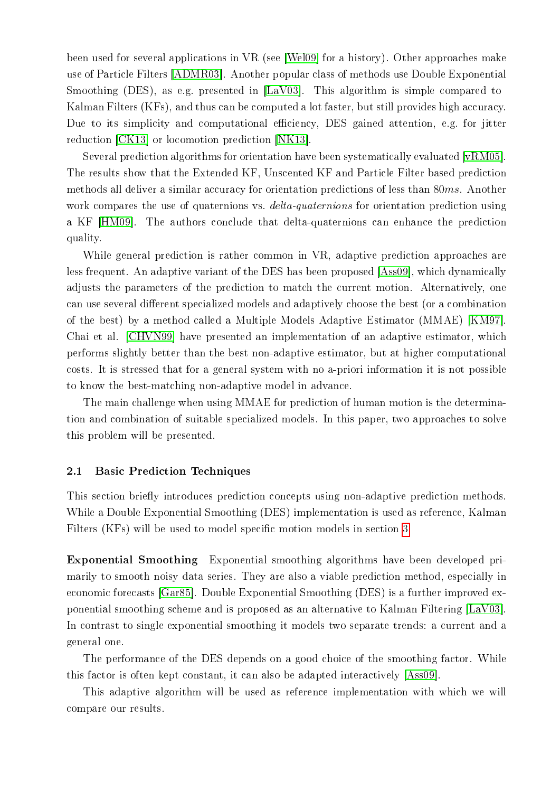been used for several applications in VR (see [\[Wel09\]](#page-11-4) for a history). Other approaches make use of Particle Filters [\[ADMR03\]](#page-10-0). Another popular class of methods use Double Exponential Smoothing (DES), as e.g. presented in [\[LaV03\]](#page-11-5). This algorithm is simple compared to Kalman Filters (KFs), and thus can be computed a lot faster, but still provides high accuracy. Due to its simplicity and computational efficiency, DES gained attention, e.g. for jitter reduction [\[CK13\]](#page-10-1) or locomotion prediction [\[NK13\]](#page-11-6).

Several prediction algorithms for orientation have been systematically evaluated [\[vRM05\]](#page-11-2). The results show that the Extended KF, Unscented KF and Particle Filter based prediction methods all deliver a similar accuracy for orientation predictions of less than 80ms. Another work compares the use of quaternions vs. *delta-quaternions* for orientation prediction using a KF [\[HM09\]](#page-10-2). The authors conclude that delta-quaternions can enhance the prediction quality.

While general prediction is rather common in VR, adaptive prediction approaches are less frequent. An adaptive variant of the DES has been proposed [\[Ass09\]](#page-10-3), which dynamically adjusts the parameters of the prediction to match the current motion. Alternatively, one can use several different specialized models and adaptively choose the best (or a combination of the best) by a method called a Multiple Models Adaptive Estimator (MMAE) [\[KM97\]](#page-11-7). Chai et al. [\[CHVN99\]](#page-10-4) have presented an implementation of an adaptive estimator, which performs slightly better than the best non-adaptive estimator, but at higher computational costs. It is stressed that for a general system with no a-priori information it is not possible to know the best-matching non-adaptive model in advance.

The main challenge when using MMAE for prediction of human motion is the determination and combination of suitable specialized models. In this paper, two approaches to solve this problem will be presented.

#### <span id="page-2-0"></span>2.1 Basic Prediction Techniques

This section briefly introduces prediction concepts using non-adaptive prediction methods. While a Double Exponential Smoothing (DES) implementation is used as reference, Kalman Filters (KFs) will be used to model specific motion models in section [3.](#page-3-0)

Exponential Smoothing Exponential smoothing algorithms have been developed primarily to smooth noisy data series. They are also a viable prediction method, especially in economic forecasts [\[Gar85\]](#page-10-5). Double Exponential Smoothing (DES) is a further improved exponential smoothing scheme and is proposed as an alternative to Kalman Filtering [\[LaV03\]](#page-11-5). In contrast to single exponential smoothing it models two separate trends: a current and a general one.

The performance of the DES depends on a good choice of the smoothing factor. While this factor is often kept constant, it can also be adapted interactively [\[Ass09\]](#page-10-3).

This adaptive algorithm will be used as reference implementation with which we will compare our results.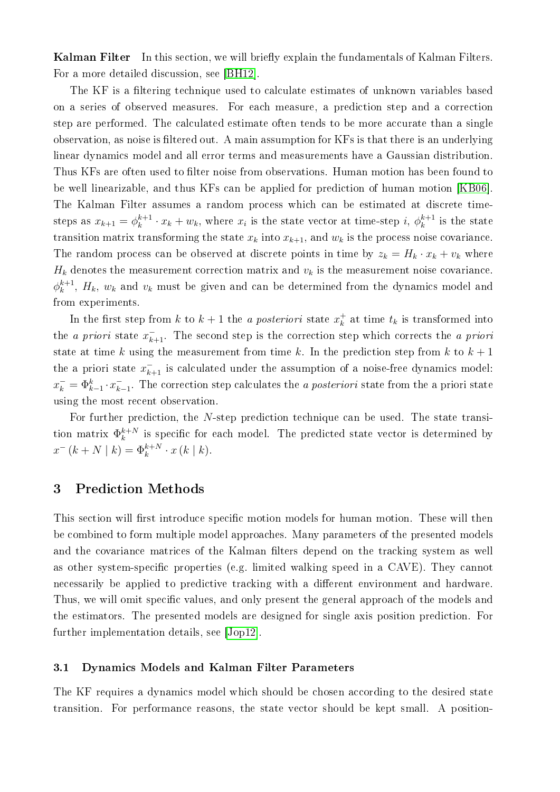**Kalman Filter** In this section, we will briefly explain the fundamentals of Kalman Filters. For a more detailed discussion, see [\[BH12\]](#page-10-6).

The KF is a filtering technique used to calculate estimates of unknown variables based on a series of observed measures. For each measure, a prediction step and a correction step are performed. The calculated estimate often tends to be more accurate than a single observation, as noise is filtered out. A main assumption for KFs is that there is an underlying linear dynamics model and all error terms and measurements have a Gaussian distribution. Thus KFs are often used to filter noise from observations. Human motion has been found to be well linearizable, and thus KFs can be applied for prediction of human motion [\[KB06\]](#page-11-8). The Kalman Filter assumes a random process which can be estimated at discrete timesteps as  $x_{k+1} = \phi_k^{k+1}$  $k^{k+1} \cdot x_k + w_k$ , where  $x_i$  is the state vector at time-step  $i, \phi_k^{k+1}$  $\frac{k+1}{k}$  is the state transition matrix transforming the state  $x_k$  into  $x_{k+1}$ , and  $w_k$  is the process noise covariance. The random process can be observed at discrete points in time by  $z_k = H_k \cdot x_k + v_k$  where  $H_k$  denotes the measurement correction matrix and  $v_k$  is the measurement noise covariance.  $\phi_k^{k+1}$  $k_{k}^{k+1}$ ,  $H_k$ ,  $w_k$  and  $v_k$  must be given and can be determined from the dynamics model and from experiments.

In the first step from k to  $k+1$  the a posteriori state  $x_k^+$  $\frac{1}{k}$  at time  $t_k$  is transformed into the *a priori* state  $x_{k+1}^-$ . The second step is the correction step which corrects the *a priori* state at time k using the measurement from time k. In the prediction step from k to  $k + 1$ the a priori state  $x_{k+1}^-$  is calculated under the assumption of a noise-free dynamics model:  $x_k^- = \Phi_{k-1}^k \cdot x_k^ \bar{k}_{t-1}$ . The correction step calculates the *a posteriori* state from the a priori state using the most recent observation.

For further prediction, the N-step prediction technique can be used. The state transition matrix  $\Phi_k^{k+N}$  $\frac{k+N}{k}$  is specific for each model. The predicted state vector is determined by  $x^{-} (k + N \mid k) = \Phi_k^{k+N} \cdot x (k \mid k).$ 

## <span id="page-3-0"></span>3 Prediction Methods

This section will first introduce specific motion models for human motion. These will then be combined to form multiple model approaches. Many parameters of the presented models and the covariance matrices of the Kalman filters depend on the tracking system as well as other system-specific properties (e.g. limited walking speed in a CAVE). They cannot necessarily be applied to predictive tracking with a different environment and hardware. Thus, we will omit specific values, and only present the general approach of the models and the estimators. The presented models are designed for single axis position prediction. For further implementation details, see [\[Jop12\]](#page-11-9).

#### <span id="page-3-1"></span>3.1 Dynamics Models and Kalman Filter Parameters

The KF requires a dynamics model which should be chosen according to the desired state transition. For performance reasons, the state vector should be kept small. A position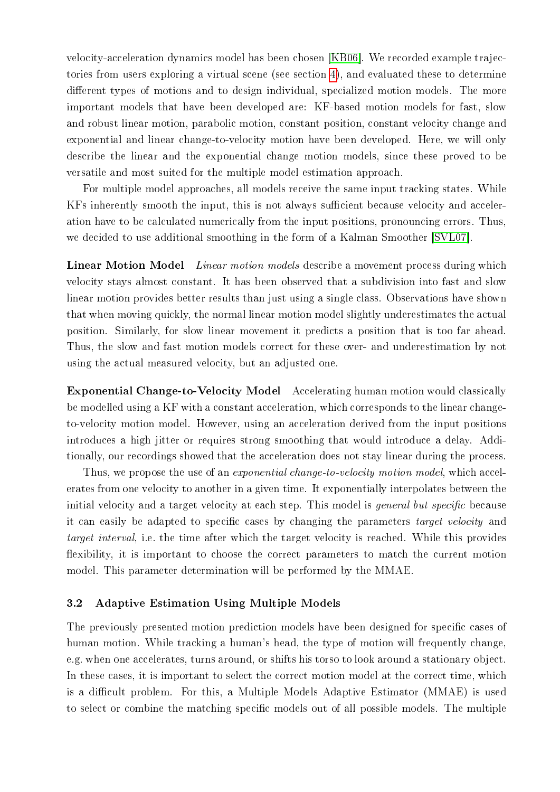velocity-acceleration dynamics model has been chosen [\[KB06\]](#page-11-8). We recorded example trajectories from users exploring a virtual scene (see section [4\)](#page-7-0), and evaluated these to determine different types of motions and to design individual, specialized motion models. The more important models that have been developed are: KF-based motion models for fast, slow and robust linear motion, parabolic motion, constant position, constant velocity change and exponential and linear change-to-velocity motion have been developed. Here, we will only describe the linear and the exponential change motion models, since these proved to be versatile and most suited for the multiple model estimation approach.

For multiple model approaches, all models receive the same input tracking states. While KFs inherently smooth the input, this is not always sufficient because velocity and acceleration have to be calculated numerically from the input positions, pronouncing errors. Thus, we decided to use additional smoothing in the form of a Kalman Smoother [\[SVL07\]](#page-11-10).

Linear Motion Model Linear motion models describe a movement process during which velocity stays almost constant. It has been observed that a subdivision into fast and slow linear motion provides better results than just using a single class. Observations have shown that when moving quickly, the normal linear motion model slightly underestimates the actual position. Similarly, for slow linear movement it predicts a position that is too far ahead. Thus, the slow and fast motion models correct for these over- and underestimation by not using the actual measured velocity, but an adjusted one.

Exponential Change-to-Velocity Model Accelerating human motion would classically be modelled using a KF with a constant acceleration, which corresponds to the linear changeto-velocity motion model. However, using an acceleration derived from the input positions introduces a high jitter or requires strong smoothing that would introduce a delay. Additionally, our recordings showed that the acceleration does not stay linear during the process.

Thus, we propose the use of an *exponential change-to-velocity motion model*, which accelerates from one velocity to another in a given time. It exponentially interpolates between the initial velocity and a target velocity at each step. This model is *general but specific* because it can easily be adapted to specific cases by changing the parameters *target velocity* and target interval, i.e. the time after which the target velocity is reached. While this provides flexibility, it is important to choose the correct parameters to match the current motion model. This parameter determination will be performed by the MMAE.

#### 3.2 Adaptive Estimation Using Multiple Models

The previously presented motion prediction models have been designed for specific cases of human motion. While tracking a human's head, the type of motion will frequently change, e.g. when one accelerates, turns around, or shifts his torso to look around a stationary object. In these cases, it is important to select the correct motion model at the correct time, which is a difficult problem. For this, a Multiple Models Adaptive Estimator (MMAE) is used to select or combine the matching specific models out of all possible models. The multiple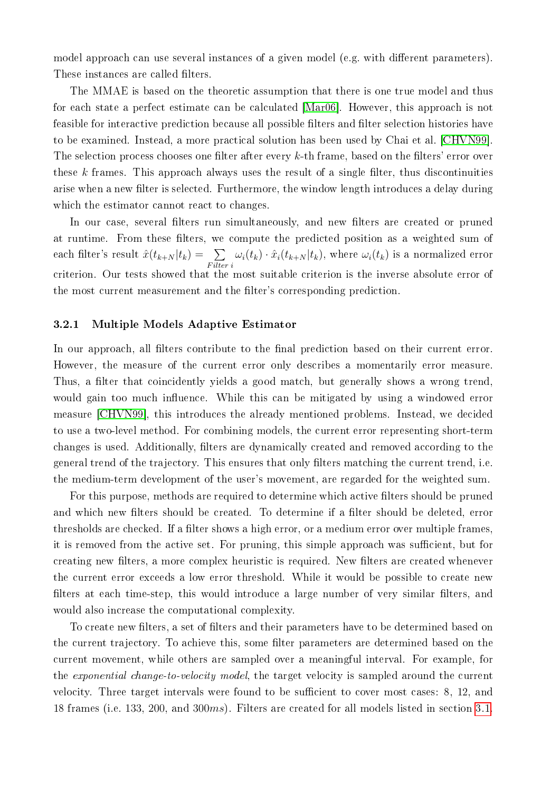model approach can use several instances of a given model (e.g. with different parameters). These instances are called filters.

The MMAE is based on the theoretic assumption that there is one true model and thus for each state a perfect estimate can be calculated [\[Mar06\]](#page-11-11). However, this approach is not feasible for interactive prediction because all possible filters and filter selection histories have to be examined. Instead, a more practical solution has been used by Chai et al. [\[CHVN99\]](#page-10-4). The selection process chooses one filter after every  $k$ -th frame, based on the filters' error over these  $k$  frames. This approach always uses the result of a single filter, thus discontinuities arise when a new filter is selected. Furthermore, the window length introduces a delay during which the estimator cannot react to changes.

In our case, several filters run simultaneously, and new filters are created or pruned at runtime. From these filters, we compute the predicted position as a weighted sum of each filter's result  $\hat{x}(t_{k+N} | t_k) = \sum$ F ilter i  $\omega_i(t_k) \cdot \hat{x}_i(t_{k+N}|t_k)$ , where  $\omega_i(t_k)$  is a normalized error criterion. Our tests showed that the most suitable criterion is the inverse absolute error of the most current measurement and the filter's corresponding prediction.

#### 3.2.1 Multiple Models Adaptive Estimator

In our approach, all filters contribute to the final prediction based on their current error. However, the measure of the current error only describes a momentarily error measure. Thus, a filter that coincidently yields a good match, but generally shows a wrong trend, would gain too much influence. While this can be mitigated by using a windowed error measure [\[CHVN99\]](#page-10-4), this introduces the already mentioned problems. Instead, we decided to use a two-level method. For combining models, the current error representing short-term changes is used. Additionally, filters are dynamically created and removed according to the general trend of the trajectory. This ensures that only filters matching the current trend, i.e. the medium-term development of the user's movement, are regarded for the weighted sum.

For this purpose, methods are required to determine which active filters should be pruned and which new filters should be created. To determine if a filter should be deleted, error thresholds are checked. If a filter shows a high error, or a medium error over multiple frames, it is removed from the active set. For pruning, this simple approach was sufficient, but for creating new filters, a more complex heuristic is required. New filters are created whenever the current error exceeds a low error threshold. While it would be possible to create new filters at each time-step, this would introduce a large number of very similar filters, and would also increase the computational complexity.

To create new filters, a set of filters and their parameters have to be determined based on the current trajectory. To achieve this, some filter parameters are determined based on the current movement, while others are sampled over a meaningful interval. For example, for the exponential change-to-velocity model, the target velocity is sampled around the current velocity. Three target intervals were found to be sufficient to cover most cases: 8, 12, and 18 frames (i.e. 133, 200, and 300ms). Filters are created for all models listed in section [3.1.](#page-3-1)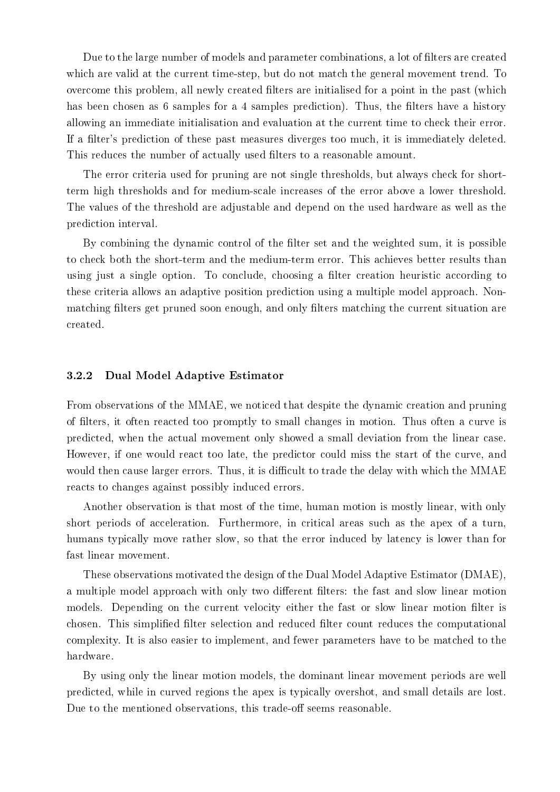Due to the large number of models and parameter combinations, a lot of filters are created which are valid at the current time-step, but do not match the general movement trend. To overcome this problem, all newly created filters are initialised for a point in the past (which has been chosen as 6 samples for a 4 samples prediction). Thus, the filters have a history allowing an immediate initialisation and evaluation at the current time to check their error. If a filter's prediction of these past measures diverges too much, it is immediately deleted. This reduces the number of actually used filters to a reasonable amount.

The error criteria used for pruning are not single thresholds, but always check for shortterm high thresholds and for medium-scale increases of the error above a lower threshold. The values of the threshold are adjustable and depend on the used hardware as well as the prediction interval.

By combining the dynamic control of the filter set and the weighted sum, it is possible to check both the short-term and the medium-term error. This achieves better results than using just a single option. To conclude, choosing a filter creation heuristic according to these criteria allows an adaptive position prediction using a multiple model approach. Nonmatching filters get pruned soon enough, and only filters matching the current situation are created.

#### 3.2.2 Dual Model Adaptive Estimator

From observations of the MMAE, we noticed that despite the dynamic creation and pruning of filters, it often reacted too promptly to small changes in motion. Thus often a curve is predicted, when the actual movement only showed a small deviation from the linear case. However, if one would react too late, the predictor could miss the start of the curve, and would then cause larger errors. Thus, it is difficult to trade the delay with which the MMAE reacts to changes against possibly induced errors.

Another observation is that most of the time, human motion is mostly linear, with only short periods of acceleration. Furthermore, in critical areas such as the apex of a turn, humans typically move rather slow, so that the error induced by latency is lower than for fast linear movement.

These observations motivated the design of the Dual Model Adaptive Estimator (DMAE), a multiple model approach with only two different filters: the fast and slow linear motion models. Depending on the current velocity either the fast or slow linear motion filter is chosen. This simplified filter selection and reduced filter count reduces the computational complexity. It is also easier to implement, and fewer parameters have to be matched to the hardware.

By using only the linear motion models, the dominant linear movement periods are well predicted, while in curved regions the apex is typically overshot, and small details are lost. Due to the mentioned observations, this trade-off seems reasonable.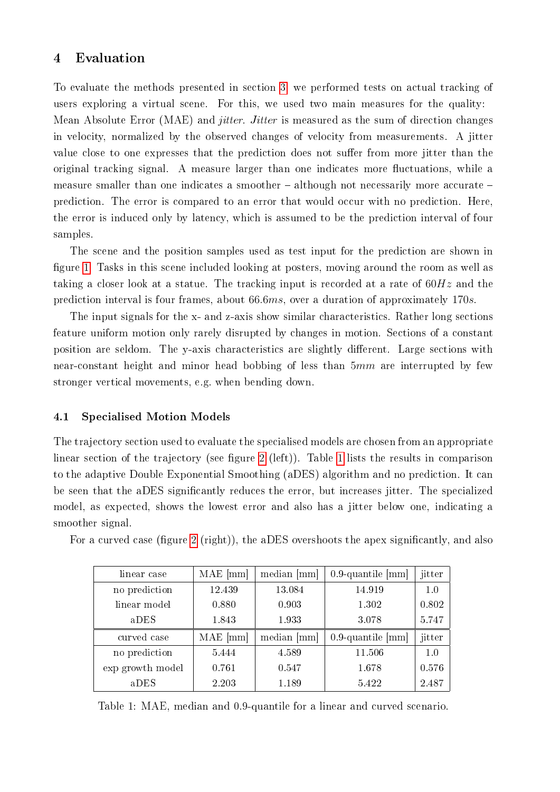# <span id="page-7-0"></span>4 Evaluation

To evaluate the methods presented in section [3,](#page-3-0) we performed tests on actual tracking of users exploring a virtual scene. For this, we used two main measures for the quality: Mean Absolute Error (MAE) and *jitter. Jitter* is measured as the sum of direction changes in velocity, normalized by the observed changes of velocity from measurements. A jitter value close to one expresses that the prediction does not suffer from more jitter than the original tracking signal. A measure larger than one indicates more fluctuations, while a measure smaller than one indicates a smoother  $-$  although not necessarily more accurate  $$ prediction. The error is compared to an error that would occur with no prediction. Here, the error is induced only by latency, which is assumed to be the prediction interval of four samples.

The scene and the position samples used as test input for the prediction are shown in figure [1.](#page-1-0) Tasks in this scene included looking at posters, moving around the room as well as taking a closer look at a statue. The tracking input is recorded at a rate of  $60Hz$  and the prediction interval is four frames, about 66.6ms, over a duration of approximately 170s.

The input signals for the x- and z-axis show similar characteristics. Rather long sections feature uniform motion only rarely disrupted by changes in motion. Sections of a constant position are seldom. The y-axis characteristics are slightly different. Large sections with near-constant height and minor head bobbing of less than  $5mm$  are interrupted by few stronger vertical movements, e.g. when bending down.

## 4.1 Specialised Motion Models

The trajectory section used to evaluate the specialised models are chosen from an appropriate linear section of the trajectory (see figure [2](#page-8-0) (left)). Table [1](#page-7-1) lists the results in comparison to the adaptive Double Exponential Smoothing (aDES) algorithm and no prediction. It can be seen that the aDES signicantly reduces the error, but increases jitter. The specialized model, as expected, shows the lowest error and also has a jitter below one, indicating a smoother signal.

| linear case      | $MAE$ [mm] | median [mm] | $0.9$ -quantile [mm] | jitter |
|------------------|------------|-------------|----------------------|--------|
| no prediction    | 12.439     | 13.084      | 14.919               | 1.0    |
| linear model     | 0.880      | 0.903       | 1.302                | 0.802  |
| aDES             | 1.843      | 1933        | 3.078                | 5.747  |
| curved case      | $MAE$ [mm] | median [mm] | $0.9$ -quantile [mm] | jitter |
| no prediction    | 5.444      | 4.589       | 11.506               | 1.0    |
| exp growth model | 0.761      | 0.547       | 1.678                | 0.576  |
| aDES             | 2.203      | 1.189       | 5.422                | 2.487  |

For a curved case (figure [2](#page-8-0) (right)), the aDES overshoots the apex significantly, and also

<span id="page-7-1"></span>Table 1: MAE, median and 0.9-quantile for a linear and curved scenario.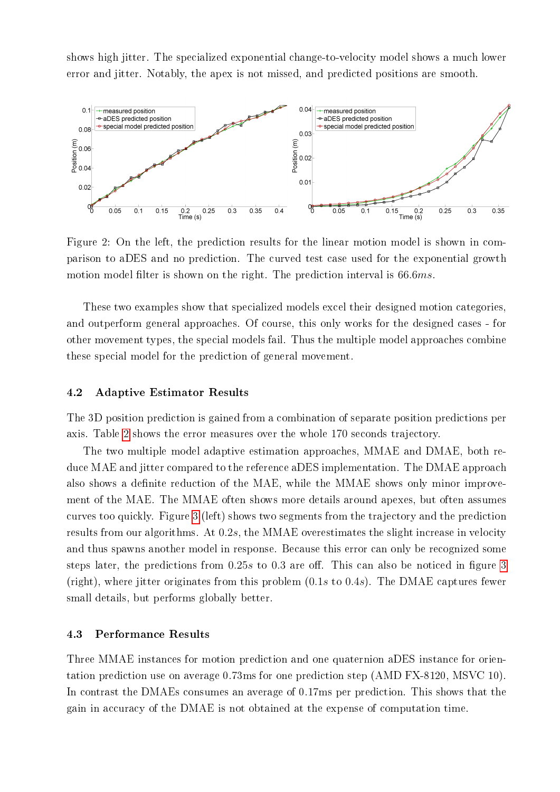shows high jitter. The specialized exponential change-to-velocity model shows a much lower error and jitter. Notably, the apex is not missed, and predicted positions are smooth.



<span id="page-8-0"></span>Figure 2: On the left, the prediction results for the linear motion model is shown in comparison to aDES and no prediction. The curved test case used for the exponential growth motion model filter is shown on the right. The prediction interval is 66.6ms.

These two examples show that specialized models excel their designed motion categories, and outperform general approaches. Of course, this only works for the designed cases - for other movement types, the special models fail. Thus the multiple model approaches combine these special model for the prediction of general movement.

#### 4.2 Adaptive Estimator Results

The 3D position prediction is gained from a combination of separate position predictions per axis. Table [2](#page-9-1) shows the error measures over the whole 170 seconds trajectory.

The two multiple model adaptive estimation approaches, MMAE and DMAE, both reduce MAE and jitter compared to the reference aDES implementation. The DMAE approach also shows a definite reduction of the MAE, while the MMAE shows only minor improvement of the MAE. The MMAE often shows more details around apexes, but often assumes curves too quickly. Figure [3](#page-9-2) (left) shows two segments from the trajectory and the prediction results from our algorithms. At 0.2s, the MMAE overestimates the slight increase in velocity and thus spawns another model in response. Because this error can only be recognized some steps later, the predictions from  $0.25s$  to  $0.3$  are off. This can also be noticed in figure [3](#page-9-2) (right), where jitter originates from this problem  $(0.1s \text{ to } 0.4s)$ . The DMAE captures fewer small details, but performs globally better.

#### 4.3 Performance Results

Three MMAE instances for motion prediction and one quaternion aDES instance for orientation prediction use on average 0.73ms for one prediction step (AMD FX-8120, MSVC 10). In contrast the DMAEs consumes an average of 0.17ms per prediction. This shows that the gain in accuracy of the DMAE is not obtained at the expense of computation time.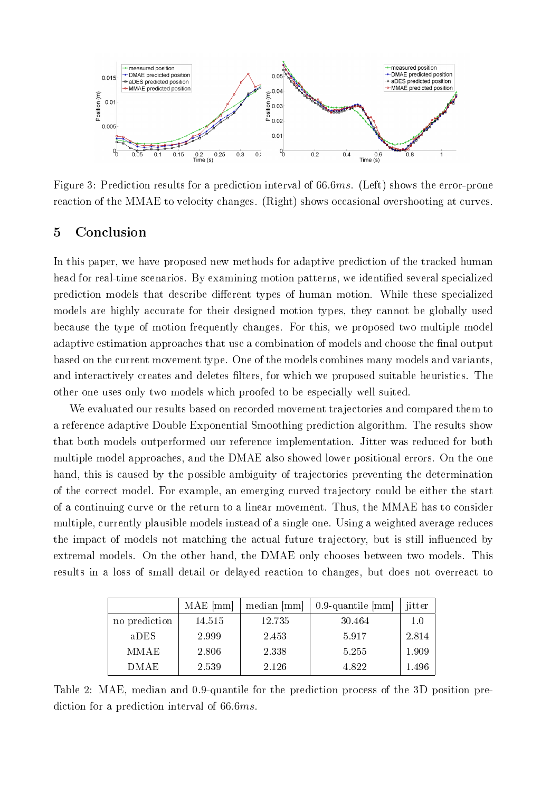

<span id="page-9-2"></span>Figure 3: Prediction results for a prediction interval of 66.6ms. (Left) shows the error-prone reaction of the MMAE to velocity changes. (Right) shows occasional overshooting at curves.

# <span id="page-9-0"></span>5 Conclusion

In this paper, we have proposed new methods for adaptive prediction of the tracked human head for real-time scenarios. By examining motion patterns, we identified several specialized prediction models that describe different types of human motion. While these specialized models are highly accurate for their designed motion types, they cannot be globally used because the type of motion frequently changes. For this, we proposed two multiple model adaptive estimation approaches that use a combination of models and choose the final output based on the current movement type. One of the models combines many models and variants, and interactively creates and deletes filters, for which we proposed suitable heuristics. The other one uses only two models which proofed to be especially well suited.

We evaluated our results based on recorded movement trajectories and compared them to a reference adaptive Double Exponential Smoothing prediction algorithm. The results show that both models outperformed our reference implementation. Jitter was reduced for both multiple model approaches, and the DMAE also showed lower positional errors. On the one hand, this is caused by the possible ambiguity of trajectories preventing the determination of the correct model. For example, an emerging curved trajectory could be either the start of a continuing curve or the return to a linear movement. Thus, the MMAE has to consider multiple, currently plausible models instead of a single one. Using a weighted average reduces the impact of models not matching the actual future trajectory, but is still influenced by extremal models. On the other hand, the DMAE only chooses between two models. This results in a loss of small detail or delayed reaction to changes, but does not overreact to

|               | $MAE$ [mm] | median [mm] | $0.9$ -quantile [mm] | jitter |
|---------------|------------|-------------|----------------------|--------|
| no prediction | 14515      | 12 735      | 30.464               | 1.0    |
| aDES          | 2.999      | 2.453       | 5917                 | 2.814  |
| <b>MMAE</b>   | 2.806      | 2.338       | 5.255                | 1.909  |
| DMAE          | 2.539      | 2.126       | 4.822                | 1.496  |

<span id="page-9-1"></span>Table 2: MAE, median and 0.9-quantile for the prediction process of the 3D position prediction for a prediction interval of 66.6ms.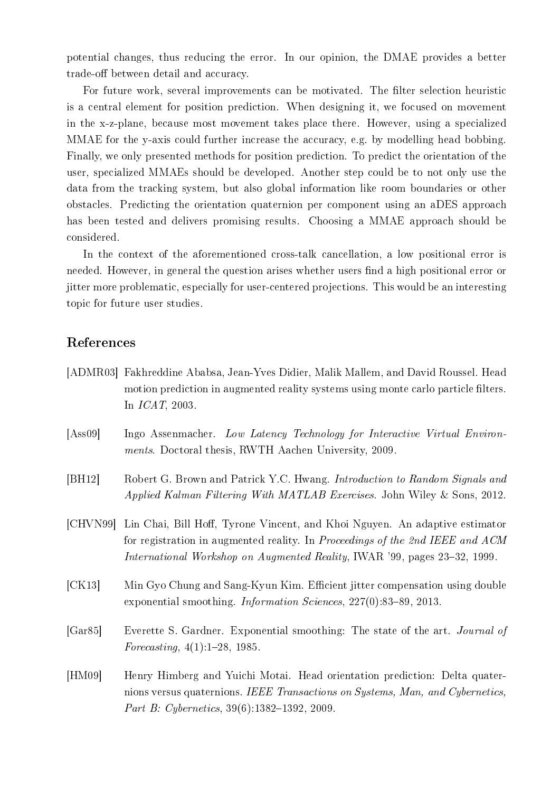potential changes, thus reducing the error. In our opinion, the DMAE provides a better trade-off between detail and accuracy.

For future work, several improvements can be motivated. The filter selection heuristic is a central element for position prediction. When designing it, we focused on movement in the x-z-plane, because most movement takes place there. However, using a specialized MMAE for the y-axis could further increase the accuracy, e.g. by modelling head bobbing. Finally, we only presented methods for position prediction. To predict the orientation of the user, specialized MMAEs should be developed. Another step could be to not only use the data from the tracking system, but also global information like room boundaries or other obstacles. Predicting the orientation quaternion per component using an aDES approach has been tested and delivers promising results. Choosing a MMAE approach should be considered.

In the context of the aforementioned cross-talk cancellation, a low positional error is needed. However, in general the question arises whether users find a high positional error or jitter more problematic, especially for user-centered projections. This would be an interesting topic for future user studies.

## References

- <span id="page-10-0"></span>[ADMR03] Fakhreddine Ababsa, Jean-Yves Didier, Malik Mallem, and David Roussel. Head motion prediction in augmented reality systems using monte carlo particle filters. In ICAT, 2003.
- <span id="page-10-3"></span>[Ass09] Ingo Assenmacher. Low Latency Technology for Interactive Virtual Environments. Doctoral thesis, RWTH Aachen University, 2009.
- <span id="page-10-6"></span>[BH12] Robert G. Brown and Patrick Y.C. Hwang. Introduction to Random Signals and Applied Kalman Filtering With MATLAB Exercises. John Wiley & Sons, 2012.
- <span id="page-10-4"></span>[CHVN99] Lin Chai, Bill Hoff, Tyrone Vincent, and Khoi Nguyen. An adaptive estimator for registration in augmented reality. In Proceedings of the 2nd IEEE and ACM International Workshop on Augmented Reality, IWAR '99, pages  $23-32$ , 1999.
- <span id="page-10-1"></span>[CK13] Min Gyo Chung and Sang-Kyun Kim. Efficient jitter compensation using double exponential smoothing. *Information Sciences*,  $227(0)$ :83-89, 2013.
- <span id="page-10-5"></span>[Gar85] Everette S. Gardner. Exponential smoothing: The state of the art. Journal of Forecasting,  $4(1):1-28$ , 1985.
- <span id="page-10-2"></span>[HM09] Henry Himberg and Yuichi Motai. Head orientation prediction: Delta quaternions versus quaternions. IEEE Transactions on Systems, Man, and Cybernetics, Part B: Cybernetics,  $39(6):1382-1392$ , 2009.